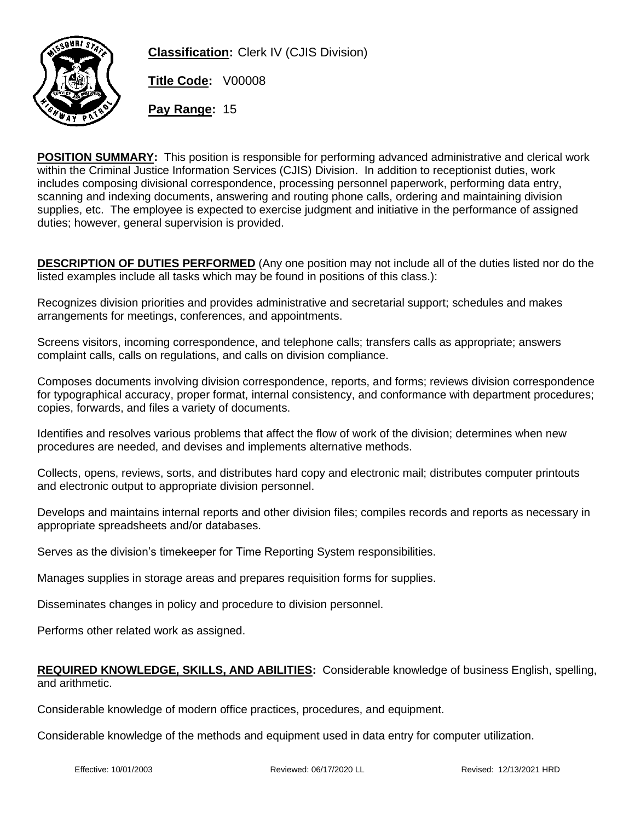

**Classification:** Clerk IV (CJIS Division)

**Title Code:** V00008

**Pay Range:** 15

**POSITION SUMMARY:** This position is responsible for performing advanced administrative and clerical work within the Criminal Justice Information Services (CJIS) Division. In addition to receptionist duties, work includes composing divisional correspondence, processing personnel paperwork, performing data entry, scanning and indexing documents, answering and routing phone calls, ordering and maintaining division supplies, etc. The employee is expected to exercise judgment and initiative in the performance of assigned duties; however, general supervision is provided.

**DESCRIPTION OF DUTIES PERFORMED** (Any one position may not include all of the duties listed nor do the listed examples include all tasks which may be found in positions of this class.):

Recognizes division priorities and provides administrative and secretarial support; schedules and makes arrangements for meetings, conferences, and appointments.

Screens visitors, incoming correspondence, and telephone calls; transfers calls as appropriate; answers complaint calls, calls on regulations, and calls on division compliance.

Composes documents involving division correspondence, reports, and forms; reviews division correspondence for typographical accuracy, proper format, internal consistency, and conformance with department procedures; copies, forwards, and files a variety of documents.

Identifies and resolves various problems that affect the flow of work of the division; determines when new procedures are needed, and devises and implements alternative methods.

Collects, opens, reviews, sorts, and distributes hard copy and electronic mail; distributes computer printouts and electronic output to appropriate division personnel.

Develops and maintains internal reports and other division files; compiles records and reports as necessary in appropriate spreadsheets and/or databases.

Serves as the division's timekeeper for Time Reporting System responsibilities.

Manages supplies in storage areas and prepares requisition forms for supplies.

Disseminates changes in policy and procedure to division personnel.

Performs other related work as assigned.

## **REQUIRED KNOWLEDGE, SKILLS, AND ABILITIES:** Considerable knowledge of business English, spelling, and arithmetic.

Considerable knowledge of modern office practices, procedures, and equipment.

Considerable knowledge of the methods and equipment used in data entry for computer utilization.